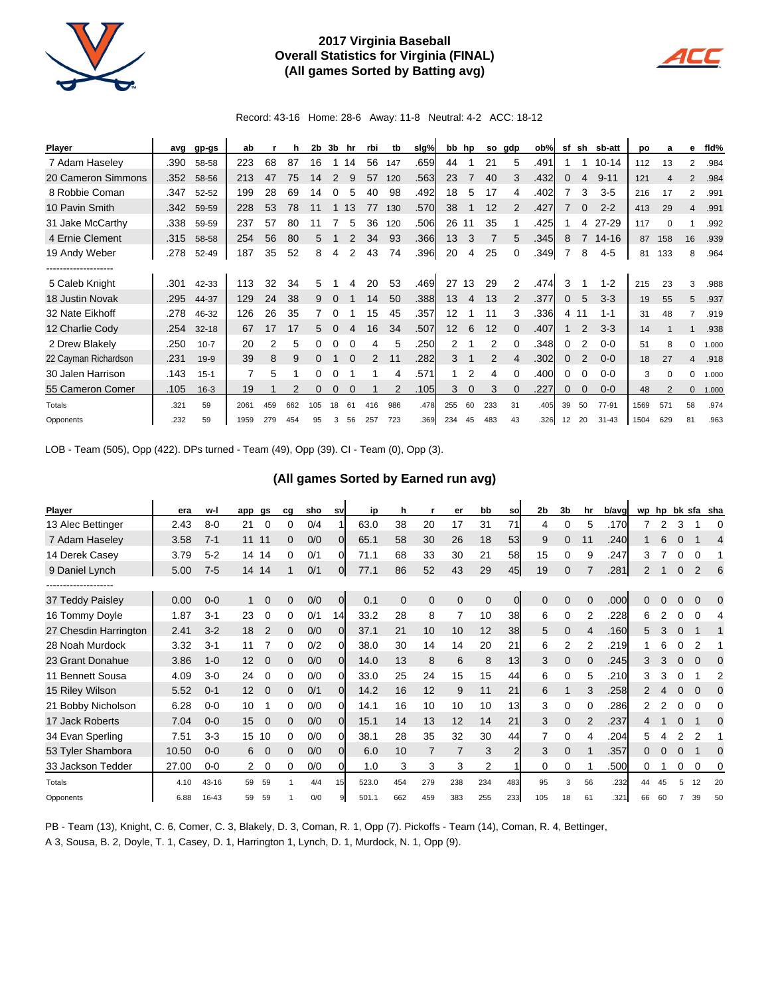

## **2017 Virginia Baseball Overall Statistics for Virginia (FINAL) (All games Sorted by Batting avg)**



Record: 43-16 Home: 28-6 Away: 11-8 Neutral: 4-2 ACC: 18-12

| <b>Player</b>         | avg  | gp-gs     | ab   |     | h   | 2b  | 3b       | hr | rbi | tb  | slg% | bb              | hp          | so  | gdp | ob%  | sf | sh            | sb-att    | <b>DO</b> | a        | е            | fid%  |
|-----------------------|------|-----------|------|-----|-----|-----|----------|----|-----|-----|------|-----------------|-------------|-----|-----|------|----|---------------|-----------|-----------|----------|--------------|-------|
| 7 Adam Haseley        | .390 | 58-58     | 223  | 68  | 87  | 16  |          | 14 | 56  | 147 | .659 | 44              |             | 21  | 5   | .491 |    |               | $10 - 14$ | 112       | 13       | 2            | .984  |
| 20 Cameron Simmons    | .352 | 58-56     | 213  | 47  | 75  | 14  | 2        | 9  | 57  | 120 | .563 | 23              | 7           | 40  | 3   | .432 | 0  | 4             | $9 - 11$  | 121       |          | 2            | .984  |
| 8 Robbie Coman        | .347 | 52-52     | 199  | 28  | 69  | 14  | 0        | 5  | 40  | 98  | .492 | 18              | 5           | 17  | 4   | .402 |    | 3             | $3-5$     | 216       | 17       | 2            | .991  |
| 10 Pavin Smith        | .342 | 59-59     | 228  | 53  | 78  | 11  |          | 13 | 77  | 130 | .570 | 38              | 1           | 12  | 2   | .427 |    | $\Omega$      | $2 - 2$   | 413       | 29       | 4            | .991  |
| 31 Jake McCarthy      | .338 | 59-59     | 237  | 57  | 80  | 11  |          | 5  | 36  | 120 | .506 | 26              | 11          | 35  |     | .425 |    | 4             | 27-29     | 117       | $\Omega$ |              | .992  |
| 4 Ernie Clement       | .315 | 58-58     | 254  | 56  | 80  | 5   |          | 2  | 34  | 93  | .366 | 13              | 3           | 7   | 5   | .345 | 8  |               | $14 - 16$ | 87        | 158      | 16           | .939  |
| 19 Andy Weber         | .278 | 52-49     | 187  | 35  | 52  | 8   | 4        | 2  | 43  | 74  | .396 | 20              | 4           | 25  | 0   | .349 |    | 8             | $4 - 5$   | 81        | 133      | 8            | .964  |
| --------------------- |      |           |      |     |     |     |          |    |     |     |      |                 |             |     |     |      |    |               |           |           |          |              |       |
| 5 Caleb Knight        | .301 | 42-33     | 113  | 32  | 34  | 5   |          | 4  | 20  | 53  | .469 | 27              | 13          | 29  | 2   | .474 | 3  |               | $1 - 2$   | 215       | 23       | 3            | .988  |
| 18 Justin Novak       | .295 | 44-37     | 129  | 24  | 38  | 9   | 0        |    | 14  | 50  | .388 | 13              | 4           | 13  | 2   | .377 | 0  | 5             | $3-3$     | 19        | 55       | 5            | .937  |
| 32 Nate Eikhoff       | .278 | 46-32     | 126  | 26  | 35  |     | O        |    | 15  | 45  | .357 | 12              |             | 11  | 3   | .336 | 4  | -11           | $1 - 1$   | 31        | 48       |              | .919  |
| 12 Charlie Cody       | .254 | $32 - 18$ | 67   | 17  | 17  | 5   | $\Omega$ | 4  | 16  | 34  | .507 | 12 <sup>2</sup> | 6           | 12  | 0   | .407 |    | 2             | $3-3$     | 14        |          |              | .938  |
| 2 Drew Blakely        | .250 | $10 - 7$  | 20   | 2   | 5   | 0   | 0        |    | 4   | 5   | .250 | 2               |             | 2   | 0   | .348 | 0  | 2             | $0 - 0$   | 51        |          | 0            | 1.000 |
| 22 Cayman Richardson  | .231 | $19-9$    | 39   | 8   | 9   | 0   |          |    | 2   | 11  | .282 | 3               |             | 2   | 4   | .302 | 0  | $\mathcal{P}$ | $0 - 0$   | 18        | 27       | 4            | .918  |
| 30 Jalen Harrison     | .143 | $15 - 1$  |      | 5   |     | 0   |          |    |     | 4   | .571 |                 | 2           | 4   | 0   | .400 | 0  |               | $0 - 0$   | 3         | $\Omega$ | 0            | 1.000 |
| 55 Cameron Comer      | .105 | $16 - 3$  | 19   |     |     | 0   | 0        | 0  |     | 2   | .105 | 3               | $\mathbf 0$ | 3   | 0   | .227 | 0  | 0             | $0-0$     | 48        |          | $\mathbf{0}$ | 1.000 |
| Totals                | .321 | 59        | 2061 | 459 | 662 | 105 | 18       | 61 | 416 | 986 | .478 | 255             | 60          | 233 | 31  | .405 | 39 | 50            | 77-91     | 1569      | 571      | 58           | .974  |
| Opponents             | .232 | 59        | 1959 | 279 | 454 | 95  | 3        | 56 | 257 | 723 | .369 | 234             | 45          | 483 | 43  | .326 | 12 | 20            | $31 - 43$ | 1504      | 629      | 81           | .963  |

LOB - Team (505), Opp (422). DPs turned - Team (49), Opp (39). CI - Team (0), Opp (3).

## **(All games Sorted by Earned run avg)**

| <b>Player</b>         | era   | w-l     | app | gs             | cq       | sho | sv             | ip    | h        |                | er       | bb          | so            | 2 <sub>b</sub> | 3b       | hr | b/avg | wp hp |   |          |                | bk sfa sha |
|-----------------------|-------|---------|-----|----------------|----------|-----|----------------|-------|----------|----------------|----------|-------------|---------------|----------------|----------|----|-------|-------|---|----------|----------------|------------|
| 13 Alec Bettinger     | 2.43  | $8-0$   | 21  | 0              | 0        | 0/4 |                | 63.0  | 38       | 20             | 17       | 31          | 71            | 4              | 0        | 5  | .170  | 7     | 2 | 3        |                | 0          |
| 7 Adam Haseley        | 3.58  | $7 - 1$ | 11  | 11             | 0        | 0/0 | 0l             | 65.1  | 58       | 30             | 26       | 18          | 53            | 9              | 0        | 11 | .240  |       | 6 |          |                | 4          |
| 14 Derek Casey        | 3.79  | $5 - 2$ | 14  | 14             | 0        | 0/1 | 0              | 71.1  | 68       | 33             | 30       | 21          | 58            | 15             | 0        | 9  | .247  | 3     |   |          | 0              |            |
| 9 Daniel Lynch        | 5.00  | $7-5$   | 14  | 14             |          | 0/1 | $\Omega$       | 77.1  | 86       | 52             | 43       | 29          | 45            | 19             | 0        |    | .281  | 2     |   | $\Omega$ | $\overline{2}$ | 6          |
|                       |       |         |     |                |          |     |                |       |          |                |          |             |               |                |          |    |       |       |   |          |                |            |
| 37 Teddy Paisley      | 0.00  | $0 - 0$ |     | 0              | 0        | 0/0 | $\overline{0}$ | 0.1   | $\Omega$ | $\mathbf{0}$   | $\Omega$ | $\mathbf 0$ | $\Omega$      | $\mathbf 0$    | $\Omega$ | 0  | .000  | 0     | 0 | $\Omega$ | $\mathbf 0$    | 0          |
| 16 Tommy Doyle        | 1.87  | $3 - 1$ | 23  | 0              | 0        | 0/1 | 14             | 33.2  | 28       | 8              | 7        | 10          | 38            | 6              | 0        | 2  | .228  | 6     |   |          | 0              | 4          |
| 27 Chesdin Harrington | 2.41  | $3 - 2$ | 18  | $\overline{2}$ | 0        | 0/0 | 0              | 37.1  | 21       | 10             | 10       | 12          | 38            | 5              | $\Omega$ | 4  | .160  | 5.    | 3 | $\Omega$ |                |            |
| 28 Noah Murdock       | 3.32  | $3 - 1$ | 11  |                | 0        | 0/2 | 0l             | 38.0  | 30       | 14             | 14       | 20          | 21            | 6              | 2        | 2  | .219  |       | 6 | 0        | 2              |            |
| 23 Grant Donahue      | 3.86  | $1 - 0$ | 12  | $\Omega$       | 0        | 0/0 | 0l             | 14.0  | 13       | 8              | 6        | 8           | 13            | 3              | $\Omega$ |    | .245  | 3     | 3 |          | $\Omega$       | $\Omega$   |
| 11 Bennett Sousa      | 4.09  | $3-0$   | 24  | 0              | 0        | 0/0 | ΩI             | 33.0  | 25       | 24             | 15       | 15          | 44            | 6              | 0        | 5  | .210  | 3     | 3 |          |                | 2          |
| 15 Riley Wilson       | 5.52  | $0 - 1$ | 12  | $\Omega$       | $\Omega$ | 0/1 | $\Omega$       | 14.2  | 16       | 12             | 9        | 11          | 21            | 6              |          | 3  | .258  | 2     |   |          | 0              | 0          |
| 21 Bobby Nicholson    | 6.28  | $0 - 0$ | 10  |                | 0        | 0/0 | 0              | 14.1  | 16       | 10             | 10       | 10          | 13            | 3              | 0        |    | .286  | 2     |   | $\Omega$ | $\Omega$       | 0          |
| 17 Jack Roberts       | 7.04  | $0 - 0$ | 15  | $\Omega$       | 0        | 0/0 | 0l             | 15.1  | 14       | 13             | 12       | 14          | 21            | 3              | $\Omega$ | 2  | .237  |       |   |          |                | $\Omega$   |
| 34 Evan Sperling      | 7.51  | $3-3$   | 15  | 10             | 0        | 0/0 | ΩI             | 38.1  | 28       | 35             | 32       | 30          | 44            |                | 0        | 4  | .204  | 5.    | 4 | 2        | 2              |            |
| 53 Tyler Shambora     | 10.50 | $0 - 0$ | 6   | 0              | 0        | 0/0 | $\Omega$       | 6.0   | 10       | $\overline{7}$ |          | 3           | $\mathcal{P}$ | 3              | $\Omega$ |    | .357  | 0     |   | $\Omega$ |                | 0          |
| 33 Jackson Tedder     | 27.00 | $0 - 0$ | 2   | 0              | 0        | 0/0 | 01             | 1.0   | 3        | 3              | 3        | 2           |               | 0              | 0        |    | .500  | 0     |   | 0        | 0              | 0          |
| Totals                | 4.10  | 43-16   | 59  | 59             |          | 4/4 | 15             | 523.0 | 454      | 279            | 238      | 234         | 483           | 95             | 3        | 56 | .232  | 44    |   |          | 12             | 20         |
| Opponents             | 6.88  | 16-43   | 59  | 59             |          | 0/0 |                | 501.1 | 662      | 459            | 383      | 255         | 233           | 105            | 18       | 61 | .321  | 66    |   |          | 39             | 50         |

PB - Team (13), Knight, C. 6, Comer, C. 3, Blakely, D. 3, Coman, R. 1, Opp (7). Pickoffs - Team (14), Coman, R. 4, Bettinger, A 3, Sousa, B. 2, Doyle, T. 1, Casey, D. 1, Harrington 1, Lynch, D. 1, Murdock, N. 1, Opp (9).